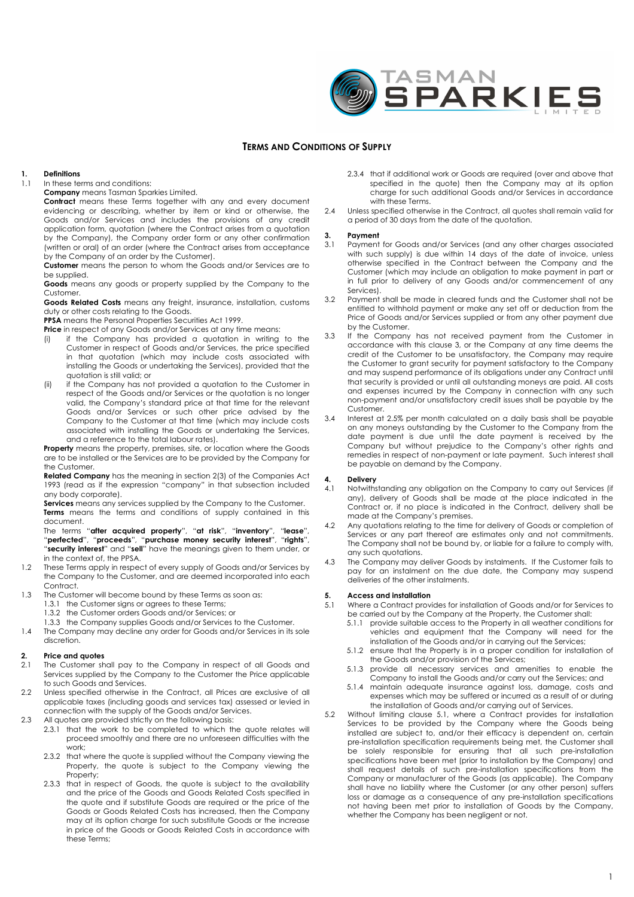

### **TERMS AND CONDITIONS OF SUPPLY**

## **1. Definitions**

In these terms and conditions:

**Company** means Tasman Sparkies Limited.

**Contract** means these Terms together with any and every document evidencing or describing, whether by item or kind or otherwise, the Goods and/or Services and includes the provisions of any credit application form, quotation (where the Contract arises from a quotation by the Company), the Company order form or any other confirmation (written or oral) of an order (where the Contract arises from acceptance by the Company of an order by the Customer).

**Customer** means the person to whom the Goods and/or Services are to be supplied.

**Goods** means any goods or property supplied by the Company to the Customer.

**Goods Related Costs** means any freight, insurance, installation, customs duty or other costs relating to the Goods.

**PPSA** means the Personal Properties Securities Act 1999.

**Price** in respect of any Goods and/or Services at any time means:

- (i) if the Company has provided a quotation in writing to the Customer in respect of Goods and/or Services, the price specified in that quotation (which may include costs associated with installing the Goods or undertaking the Services), provided that the quotation is still valid; or
- (ii) if the Company has not provided a quotation to the Customer in respect of the Goods and/or Services or the quotation is no longer valid, the Company's standard price at that time for the relevant Goods and/or Services or such other price advised by the Company to the Customer at that time (which may include costs associated with installing the Goods or undertaking the Services, and a reference to the total labour rates).

**Property** means the property, premises, site, or location where the Goods are to be installed or the Services are to be provided by the Company for the Customer.

**Related Company** has the meaning in section 2(3) of the Companies Act 1993 (read as if the expression "company" in that subsection included any body corporate).

**Services** means any services supplied by the Company to the Customer. **Terms** means the terms and conditions of supply contained in this document.

The terms "**after acquired property**", "**at risk**", "**inventory**", "**lease**", "**perfected**", "**proceeds**", "**purchase money security interest**", "**rights**", "**security interest**" and "**sell**" have the meanings given to them under, or in the context of, the PPSA.

- 1.2 These Terms apply in respect of every supply of Goods and/or Services by the Company to the Customer, and are deemed incorporated into each Contract.
- 1.3 The Customer will become bound by these Terms as soon as:
- 1.3.1 the Customer signs or agrees to these Terms; 1.3.2 the Customer orders Goods and/or Services; or
	- 1.3.3 the Company supplies Goods and/or Services to the Customer.
- 1.4 The Company may decline any order for Goods and/or Services in its sole discretion.

#### **2. Price and quotes**

- 2.1 The Customer shall pay to the Company in respect of all Goods and Services supplied by the Company to the Customer the Price applicable to such Goods and Services.
- 2.2 Unless specified otherwise in the Contract, all Prices are exclusive of all applicable taxes (including goods and services tax) assessed or levied in connection with the supply of the Goods and/or Services.
- 2.3 All quotes are provided strictly on the following basis:
	- 2.3.1 that the work to be completed to which the quote relates will proceed smoothly and there are no unforeseen difficulties with the work;
	- 2.3.2 that where the quote is supplied without the Company viewing the Property, the quote is subject to the Company viewing the Property;
	- 2.3.3 that in respect of Goods, the quote is subject to the availability and the price of the Goods and Goods Related Costs specified in the quote and if substitute Goods are required or the price of the Goods or Goods Related Costs has increased, then the Company may at its option charge for such substitute Goods or the increase in price of the Goods or Goods Related Costs in accordance with these Terms;
- 2.3.4 that if additional work or Goods are required (over and above that specified in the quote) then the Company may at its option charge for such additional Goods and/or Services in accordance with these Terms.
- 2.4 Unless specified otherwise in the Contract, all avotes shall remain valid for a period of 30 days from the date of the quotation.

#### **3. Payment**

- 3.1 Payment for Goods and/or Services (and any other charges associated with such supply) is due within 14 days of the date of invoice, unless otherwise specified in the Contract between the Company and the Customer (which may include an obligation to make payment in part or in full prior to delivery of any Goods and/or commencement of any Services).
- 3.2 Payment shall be made in cleared funds and the Customer shall not be entitled to withhold payment or make any set off or deduction from the Price of Goods and/or Services supplied or from any other payment due by the Customer.
- 3.3 If the Company has not received payment from the Customer in accordance with this clause 3, or the Company at any time deems the credit of the Customer to be unsatisfactory, the Company may require the Customer to grant security for payment satisfactory to the Company and may suspend performance of its obligations under any Contract until that security is provided or until all outstanding moneys are paid. All costs and expenses incurred by the Company in connection with any such non-payment and/or unsatisfactory credit issues shall be payable by the Customer.
- 3.4 Interest at 2.5% per month calculated on a daily basis shall be payable on any moneys outstanding by the Customer to the Company from the date payment is due until the date payment is received by the Company but without prejudice to the Company's other rights and remedies in respect of non-payment or late payment. Such interest shall be payable on demand by the Company.

#### **4. Delivery**

- 4.1 Notwithstanding any obligation on the Company to carry out Services (if any), delivery of Goods shall be made at the place indicated in the Contract or, if no place is indicated in the Contract, delivery shall be made at the Company's premises.
- 4.2 Any quotations relating to the time for delivery of Goods or completion of Services or any part thereof are estimates only and not commitments. The Company shall not be bound by, or liable for a failure to comply with, any such quotations.
- 4.3 The Company may deliver Goods by instalments. If the Customer fails to pay for an instalment on the due date, the Company may suspend deliveries of the other instalments.

#### **5. Access and installation**

- 5.1 Where a Contract provides for installation of Goods and/or for Services to be carried out by the Company at the Property, the Customer shall:
	- 5.1.1 provide suitable access to the Property in all weather conditions for vehicles and equipment that the Company will need for the installation of the Goods and/or in carrying out the Services;
	- 5.1.2 ensure that the Property is in a proper condition for installation of the Goods and/or provision of the Services;
	- 5.1.3 provide all necessary services and amenities to enable the Company to install the Goods and/or carry out the Services; and
	- 5.1.4 maintain adequate insurance against loss, damage, costs and expenses which may be suffered or incurred as a result of or during the installation of Goods and/or carrying out of Services.
- 5.2 Without limiting clause 5.1, where a Contract provides for installation Services to be provided by the Company where the Goods being installed are subject to, and/or their efficacy is dependent on, certain pre-installation specification requirements being met, the Customer shall be solely responsible for ensuring that all such pre-installation specifications have been met (prior to installation by the Company) and shall request details of such pre-installation specifications from the Company or manufacturer of the Goods (as applicable). The Company shall have no liability where the Customer (or any other person) suffers loss or damage as a consequence of any pre-installation specifications not having been met prior to installation of Goods by the Company, whether the Company has been negligent or not.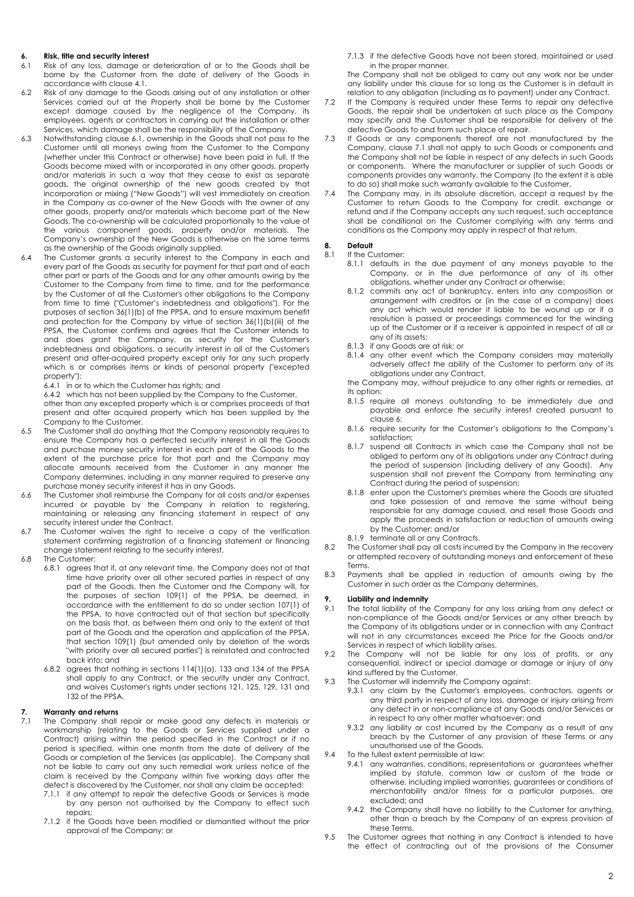#### **6. Risk, title and security interest**

- 6.1 Risk of any loss, damage or deterioration of or to the Goods shall be borne by the Customer from the date of delivery of the Goods in accordance with clause 4.1.
- 6.2 Risk of any damage to the Goods arising out of any installation or other Services carried out at the Property shall be borne by the Customer except damage caused by the negligence of the Company, its employees, agents or contractors in carrying out the installation or other Services, which damage shall be the responsibility of the Company.
- 6.3 Notwithstanding clause 6.1, ownership in the Goods shall not pass to the Customer until all moneys owing from the Customer to the Company (whether under this Contract or otherwise) have been paid in full. If the Goods become mixed with or incorporated in any other goods, property and/or materials in such a way that they cease to exist as separate goods, the original ownership of the new goods created by that incorporation or mixing ("New Goods") will vest immediately on creation in the Company as co-owner of the New Goods with the owner of any other goods, property and/or materials which become part of the New Goods. The co-ownership will be calculated proportionally to the value of the various component goods, property and/or materials. The Company's ownership of the New Goods is otherwise on the same terms as the ownership of the Goods originally supplied.
- 6.4 The Customer grants a security interest to the Company in each and every part of the Goods as security for payment for that part and of each other part or parts of the Goods and for any other amounts owing by the Customer to the Company from time to time, and for the performance by the Customer of all the Customer's other obligations to the Company from time to time ("Customer's indebtedness and obligations"). For the purposes of section 36(1)(b) of the PPSA, and to ensure maximum benefit and protection for the Company by virtue of section 36(1)(b)(iii) of the PPSA, the Customer confirms and agrees that the Customer intends to and does grant the Company, as security for the Customer's indebtedness and obligations, a security interest in all of the Customer's present and after-acquired property except only for any such property which is or comprises items or kinds of personal property ("excepted property"):

6.4.1 in or to which the Customer has rights; and

6.4.2 which has not been supplied by the Company to the Customer,

other than any excepted property which is or comprises proceeds of that present and after acquired property which has been supplied by the Company to the Customer.

- 6.5 The Customer shall do anything that the Company reasonably requires to ensure the Company has a perfected security interest in all the Goods and purchase money security interest in each part of the Goods to the extent of the purchase price for that part and the Company may allocate amounts received from the Customer in any manner the Company determines, including in any manner required to preserve any purchase money security interest it has in any Goods.
- 6.6 The Customer shall reimburse the Company for all costs and/or expenses incurred or payable by the Company in relation to registering, maintaining or releasing any financing statement in respect of any security interest under the Contract.
- 6.7 The Customer waives the right to receive a copy of the verification statement confirming registration of a financing statement or financing change statement relating to the security interest.
- 6.8 The Customer:
	- 6.8.1 agrees that if, at any relevant time, the Company does not at that time have priority over all other secured parties in respect of any part of the Goods, then the Customer and the Company will, for the purposes of section 109(1) of the PPSA, be deemed, in accordance with the entitlement to do so under section 107(1) of the PPSA, to have contracted out of that section but specifically on the basis that, as between them and only to the extent of that part of the Goods and the operation and application of the PPSA, that section 109(1) (but amended only by deletion of the words "with priority over all secured parties") is reinstated and contracted back into; and
		- 6.8.2 agrees that nothing in sections 114(1)(a), 133 and 134 of the PPSA shall apply to any Contract, or the security under any Contract, and waives Customer's rights under sections 121, 125, 129, 131 and 132 of the PPSA.

### **7. Warranty and returns**

- The Company shall repair or make good any defects in materials or workmanship (relating to the Goods or Services supplied under a Contract) arising within the period specified in the Contract or if no period is specified, within one month from the date of delivery of the Goods or completion of the Services (as applicable). The Company shall not be liable to carry out any such remedial work unless notice of the claim is received by the Company within five working days after the defect is discovered by the Customer, nor shall any claim be accepted:
	- 7.1.1 if any attempt to repair the defective Goods or Services is made by any person not authorised by the Company to effect such repairs;
	- 7.1.2 if the Goods have been modified or dismantled without the prior approval of the Company; or

7.1.3 if the defective Goods have not been stored, maintained or used in the proper manner.

The Company shall not be obliged to carry out any work nor be under any liability under this clause for so long as the Customer is in default in relation to any obligation (including as to payment) under any Contract.

- 7.2 If the Company is required under these Terms to repair any defective Goods, the repair shall be undertaken at such place as the Company may specify and the Customer shall be responsible for delivery of the defective Goods to and from such place of repair.
- 7.3 If Goods or any components thereof are not manufactured by the Company, clause 7.1 shall not apply to such Goods or components and the Company shall not be liable in respect of any defects in such Goods or components. Where the manufacturer or supplier of such Goods or components provides any warranty, the Company (to the extent it is able to do so) shall make such warranty available to the Customer.
- 7.4 The Company may, in its absolute discretion, accept a request by the Customer to return Goods to the Company for credit, exchange or refund and if the Company accepts any such request, such acceptance shall be conditional on the Customer complying with any terms and conditions as the Company may apply in respect of that return.

### **8. Default**

- If the Customer:
	- 8.1.1 defaults in the due payment of any moneys payable to the Company, or in the due performance of any of its other obligations, whether under any Contract or otherwise;
	- 8.1.2 commits any act of bankruptcy, enters into any composition or arrangement with creditors or (in the case of a company) does any act which would render it liable to be wound up or if a resolution is passed or proceedings commenced for the winding up of the Customer or if a receiver is appointed in respect of all or any of its assets;
	- 8.1.3 if any Goods are at risk; or
	- 8.1.4 any other event which the Company considers may materially adversely affect the ability of the Customer to perform any of its obligations under any Contract,

the Company may, without prejudice to any other rights or remedies, at its option:

- 8.1.5 require all moneys outstanding to be immediately due and payable and enforce the security interest created pursuant to clause 6;
- 8.1.6 require security for the Customer's obligations to the Company's satisfaction;
- 8.1.7 suspend all Contracts in which case the Company shall not be obliged to perform any of its obligations under any Contract during the period of suspension (including delivery of any Goods). Any suspension shall not prevent the Company from terminating any Contract during the period of suspension;
- 8.1.8 enter upon the Customer's premises where the Goods are situated and take possession of and remove the same without being responsible for any damage caused, and resell those Goods and apply the proceeds in satisfaction or reduction of amounts owing by the Customer; and/or
- 8.1.9 terminate all or any Contracts.
- 8.2 The Customer shall pay all costs incurred by the Company in the recovery or attempted recovery of outstanding moneys and enforcement of these Terms.
- 8.3 Payments shall be applied in reduction of amounts owing by the Customer in such order as the Company determines.

#### **9. Liability and indemnity**

- 9.1 The total liability of the Company for any loss arising from any defect or non-compliance of the Goods and/or Services or any other breach by the Company of its obligations under or in connection with any Contract will not in any circumstances exceed the Price for the Goods and/or Services in respect of which liability arises.
- 9.2 The Company will not be liable for any loss of profits, or any consequential, indirect or special damage or damage or injury of any kind suffered by the Customer.
- 9.3 The Customer will indemnify the Company against:
	- 9.3.1 any claim by the Customer's employees, contractors, agents or any third party in respect of any loss, damage or injury arising from any defect in or non-compliance of any Goods and/or Services or in respect to any other matter whatsoever; and
	- 9.3.2 any liability or cost incurred by the Company as a result of any breach by the Customer of any provision of these Terms or any unauthorised use of the Goods.
- 9.4 To the fullest extent permissible at law:
	- 9.4.1 any warranties, conditions, representations or guarantees whether implied by statute, common law or custom of the trade or otherwise, including implied warranties, guarantees or conditions of merchantability and/or fitness for a particular purposes, are excluded; and
	- 9.4.2 the Company shall have no liability to the Customer for anything, other than a breach by the Company of an express provision of these Terms.
- 9.5 The Customer agrees that nothing in any Contract is intended to have the effect of contracting out of the provisions of the Consumer